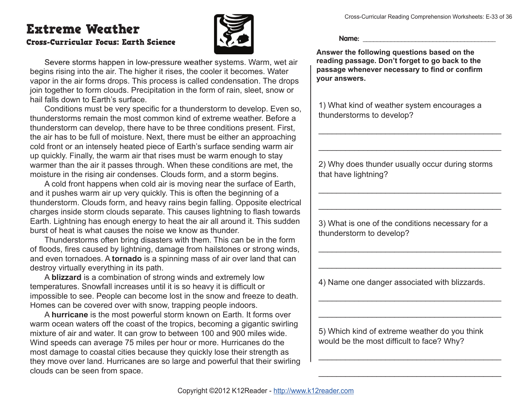## Extreme Weather

## Cross-Curricular Focus: Earth Science



Severe storms happen in low-pressure weather systems. Warm, wet air begins rising into the air. The higher it rises, the cooler it becomes. Water vapor in the air forms drops. This process is called condensation. The drops join together to form clouds. Precipitation in the form of rain, sleet, snow or hail falls down to Earth's surface.

Conditions must be very specific for a thunderstorm to develop. Even so, thunderstorms remain the most common kind of extreme weather. Before a thunderstorm can develop, there have to be three conditions present. First, the air has to be full of moisture. Next, there must be either an approaching cold front or an intensely heated piece of Earth's surface sending warm air up quickly. Finally, the warm air that rises must be warm enough to stay warmer than the air it passes through. When these conditions are met, the moisture in the rising air condenses. Clouds form, and a storm begins.

A cold front happens when cold air is moving near the surface of Earth, and it pushes warm air up very quickly. This is often the beginning of a thunderstorm. Clouds form, and heavy rains begin falling. Opposite electrical charges inside storm clouds separate. This causes lightning to flash towards Earth. Lightning has enough energy to heat the air all around it. This sudden burst of heat is what causes the noise we know as thunder.

Thunderstorms often bring disasters with them. This can be in the form of floods, fires caused by lightning, damage from hailstones or strong winds, and even tornadoes. A **tornado** is a spinning mass of air over land that can destroy virtually everything in its path.

A **blizzard** is a combination of strong winds and extremely low temperatures. Snowfall increases until it is so heavy it is difficult or impossible to see. People can become lost in the snow and freeze to death. Homes can be covered over with snow, trapping people indoors.

A **hurricane** is the most powerful storm known on Earth. It forms over warm ocean waters off the coast of the tropics, becoming a gigantic swirling mixture of air and water. It can grow to between 100 and 900 miles wide. Wind speeds can average 75 miles per hour or more. Hurricanes do the most damage to coastal cities because they quickly lose their strength as they move over land. Hurricanes are so large and powerful that their swirling clouds can be seen from space.

**Name: \_\_\_\_\_\_\_\_\_\_\_\_\_\_\_\_\_\_\_\_\_\_\_\_\_\_\_\_\_\_\_\_\_\_\_\_\_\_**

**Answer the following questions based on the reading passage. Don't forget to go back to the**  passage whenever necessary to find or confirm **your answers.**

1) What kind of weather system encourages a thunderstorms to develop?

2) Why does thunder usually occur during storms that have lightning?

\_\_\_\_\_\_\_\_\_\_\_\_\_\_\_\_\_\_\_\_\_\_\_\_\_\_\_\_\_\_\_\_\_\_\_\_\_\_\_\_\_

\_\_\_\_\_\_\_\_\_\_\_\_\_\_\_\_\_\_\_\_\_\_\_\_\_\_\_\_\_\_\_\_\_\_\_\_\_\_\_\_\_

 $\mathcal{L}_\text{max}$  and  $\mathcal{L}_\text{max}$  and  $\mathcal{L}_\text{max}$  and  $\mathcal{L}_\text{max}$ 

 $\mathcal{L}_\text{max}$  and  $\mathcal{L}_\text{max}$  and  $\mathcal{L}_\text{max}$  and  $\mathcal{L}_\text{max}$ 

\_\_\_\_\_\_\_\_\_\_\_\_\_\_\_\_\_\_\_\_\_\_\_\_\_\_\_\_\_\_\_\_\_\_\_\_\_\_\_\_\_

 $\mathcal{L}_\text{max}$  and  $\mathcal{L}_\text{max}$  and  $\mathcal{L}_\text{max}$  and  $\mathcal{L}_\text{max}$ 

 $\mathcal{L}_\text{max}$  and  $\mathcal{L}_\text{max}$  and  $\mathcal{L}_\text{max}$  and  $\mathcal{L}_\text{max}$ 

\_\_\_\_\_\_\_\_\_\_\_\_\_\_\_\_\_\_\_\_\_\_\_\_\_\_\_\_\_\_\_\_\_\_\_\_\_\_\_\_\_

\_\_\_\_\_\_\_\_\_\_\_\_\_\_\_\_\_\_\_\_\_\_\_\_\_\_\_\_\_\_\_\_\_\_\_\_\_\_\_\_\_

 $\mathcal{L}_\text{max}$  and  $\mathcal{L}_\text{max}$  and  $\mathcal{L}_\text{max}$  and  $\mathcal{L}_\text{max}$ 

3) What is one of the conditions necessary for a thunderstorm to develop?

4) Name one danger associated with blizzards.

5) Which kind of extreme weather do you think would be the most difficult to face? Why?